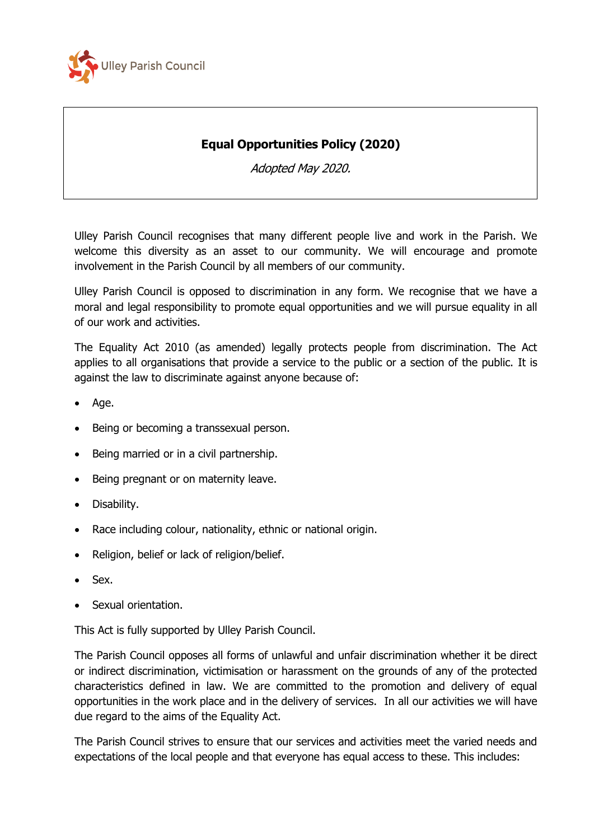

## **Equal Opportunities Policy (2020)**

Adopted May 2020.

Ulley Parish Council recognises that many different people live and work in the Parish. We welcome this diversity as an asset to our community. We will encourage and promote involvement in the Parish Council by all members of our community.

Ulley Parish Council is opposed to discrimination in any form. We recognise that we have a moral and legal responsibility to promote equal opportunities and we will pursue equality in all of our work and activities.

The Equality Act 2010 (as amended) legally protects people from discrimination. The Act applies to all organisations that provide a service to the public or a section of the public. It is against the law to discriminate against anyone because of:

- Age.
- Being or becoming a transsexual person.
- Being married or in a civil partnership.
- Being pregnant or on maternity leave.
- Disability.
- Race including colour, nationality, ethnic or national origin.
- Religion, belief or lack of religion/belief.
- Sex.
- Sexual orientation.

This Act is fully supported by Ulley Parish Council.

The Parish Council opposes all forms of unlawful and unfair discrimination whether it be direct or indirect discrimination, victimisation or harassment on the grounds of any of the protected characteristics defined in law. We are committed to the promotion and delivery of equal opportunities in the work place and in the delivery of services. In all our activities we will have due regard to the aims of the Equality Act.

The Parish Council strives to ensure that our services and activities meet the varied needs and expectations of the local people and that everyone has equal access to these. This includes: